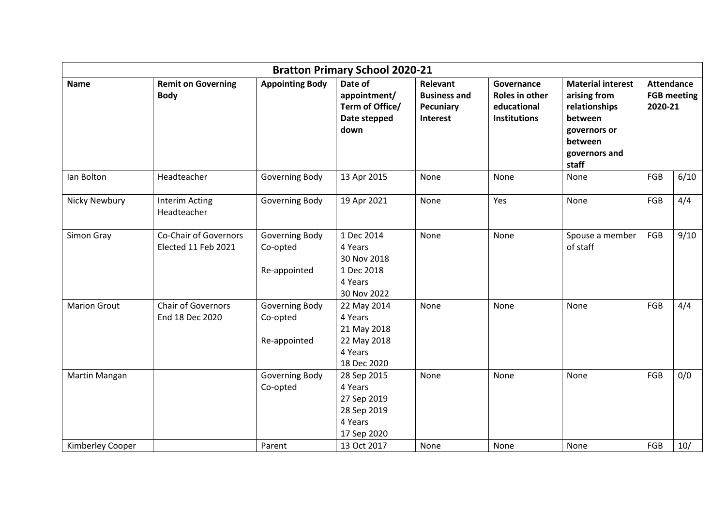| <b>Bratton Primary School 2020-21</b> |                                              |                                            |                                                                                |                                                                        |                                                                    |                                                                                                                           |                                                    |      |
|---------------------------------------|----------------------------------------------|--------------------------------------------|--------------------------------------------------------------------------------|------------------------------------------------------------------------|--------------------------------------------------------------------|---------------------------------------------------------------------------------------------------------------------------|----------------------------------------------------|------|
| <b>Name</b>                           | <b>Remit on Governing</b><br><b>Body</b>     | <b>Appointing Body</b>                     | Date of<br>appointment/<br>Term of Office/<br>Date stepped<br>down             | <b>Relevant</b><br><b>Business and</b><br><b>Pecuniary</b><br>Interest | Governance<br>Roles in other<br>educational<br><b>Institutions</b> | <b>Material interest</b><br>arising from<br>relationships<br>between<br>governors or<br>between<br>governors and<br>staff | <b>Attendance</b><br><b>FGB meeting</b><br>2020-21 |      |
| lan Bolton                            | Headteacher                                  | Governing Body                             | 13 Apr 2015                                                                    | None                                                                   | None                                                               | None                                                                                                                      | FGB                                                | 6/10 |
| <b>Nicky Newbury</b>                  | <b>Interim Acting</b><br>Headteacher         | Governing Body                             | 19 Apr 2021                                                                    | None                                                                   | Yes                                                                | None                                                                                                                      | FGB                                                | 4/4  |
| Simon Gray                            | Co-Chair of Governors<br>Elected 11 Feb 2021 | Governing Body<br>Co-opted<br>Re-appointed | 1 Dec 2014<br>4 Years<br>30 Nov 2018<br>1 Dec 2018<br>4 Years<br>30 Nov 2022   | None                                                                   | None                                                               | Spouse a member<br>of staff                                                                                               | FGB                                                | 9/10 |
| <b>Marion Grout</b>                   | <b>Chair of Governors</b><br>End 18 Dec 2020 | Governing Body<br>Co-opted<br>Re-appointed | 22 May 2014<br>4 Years<br>21 May 2018<br>22 May 2018<br>4 Years<br>18 Dec 2020 | None                                                                   | None                                                               | None                                                                                                                      | FGB                                                | 4/4  |
| Martin Mangan                         |                                              | Governing Body<br>Co-opted                 | 28 Sep 2015<br>4 Years<br>27 Sep 2019<br>28 Sep 2019<br>4 Years<br>17 Sep 2020 | None                                                                   | None                                                               | None                                                                                                                      | FGB                                                | 0/0  |
| Kimberley Cooper                      |                                              | Parent                                     | 13 Oct 2017                                                                    | None                                                                   | None                                                               | None                                                                                                                      | FGB                                                | 10/  |